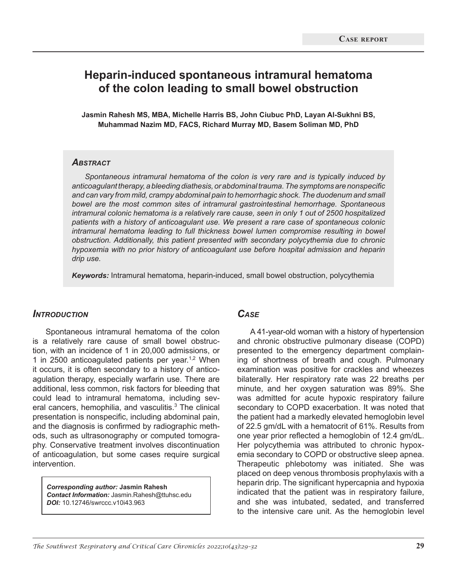# **Heparin-induced spontaneous intramural hematoma of the colon leading to small bowel obstruction**

**Jasmin Rahesh MS, MBA, Michelle Harris BS, John Ciubuc PhD, Layan Al-Sukhni BS, Muhammad Nazim MD, FACS, Richard Murray MD, Basem Soliman MD, PhD**

#### *Abstract*

*Spontaneous intramural hematoma of the colon is very rare and is typically induced by anticoagulant therapy, a bleeding diathesis, or abdominal trauma. The symptoms are nonspecific and can vary from mild, crampy abdominal pain to hemorrhagic shock. The duodenum and small bowel are the most common sites of intramural gastrointestinal hemorrhage. Spontaneous intramural colonic hematoma is a relatively rare cause, seen in only 1 out of 2500 hospitalized patients with a history of anticoagulant use. We present a rare case of spontaneous colonic intramural hematoma leading to full thickness bowel lumen compromise resulting in bowel obstruction. Additionally, this patient presented with secondary polycythemia due to chronic hypoxemia with no prior history of anticoagulant use before hospital admission and heparin drip use.*

*Keywords:* Intramural hematoma, heparin-induced, small bowel obstruction, polycythemia

### *Introduction*

Spontaneous intramural hematoma of the colon is a relatively rare cause of small bowel obstruction, with an incidence of 1 in 20,000 admissions, or 1 in 2500 anticoagulated patients per year.<sup>1,2</sup> When it occurs, it is often secondary to a history of anticoagulation therapy, especially warfarin use. There are additional, less common, risk factors for bleeding that could lead to intramural hematoma, including several cancers, hemophilia, and vasculitis.<sup>3</sup> The clinical presentation is nonspecific, including abdominal pain, and the diagnosis is confirmed by radiographic methods, such as ultrasonography or computed tomography. Conservative treatment involves discontinuation of anticoagulation, but some cases require surgical intervention.

*Corresponding author:* **Jasmin Rahesh**  *Contact Information:* Jasmin.Rahesh@ttuhsc.edu *DOI:* 10.12746/swrccc.v10i43.963

# *Case*

A 41-year-old woman with a history of hypertension and chronic obstructive pulmonary disease (COPD) presented to the emergency department complaining of shortness of breath and cough. Pulmonary examination was positive for crackles and wheezes bilaterally. Her respiratory rate was 22 breaths per minute, and her oxygen saturation was 89%. She was admitted for acute hypoxic respiratory failure secondary to COPD exacerbation. It was noted that the patient had a markedly elevated hemoglobin level of 22.5 gm/dL with a hematocrit of 61%. Results from one year prior reflected a hemoglobin of 12.4 gm/dL. Her polycythemia was attributed to chronic hypoxemia secondary to COPD or obstructive sleep apnea. Therapeutic phlebotomy was initiated. She was placed on deep venous thrombosis prophylaxis with a heparin drip. The significant hypercapnia and hypoxia indicated that the patient was in respiratory failure, and she was intubated, sedated, and transferred to the intensive care unit. As the hemoglobin level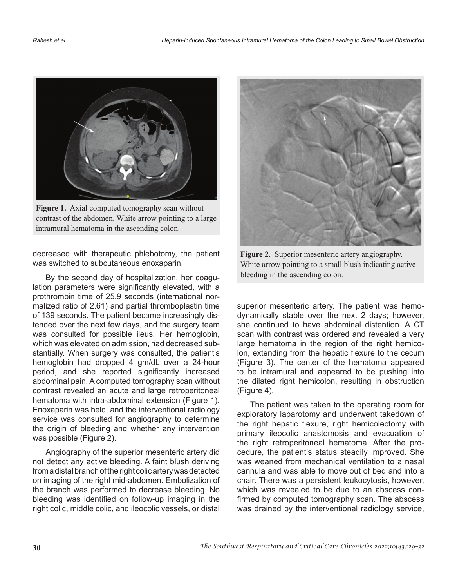

**Figure 1.** Axial computed tomography scan without contrast of the abdomen. White arrow pointing to a large intramural hematoma in the ascending colon.

decreased with therapeutic phlebotomy, the patient was switched to subcutaneous enoxaparin.

By the second day of hospitalization, her coagulation parameters were significantly elevated, with a prothrombin time of 25.9 seconds (international normalized ratio of 2.61) and partial thromboplastin time of 139 seconds. The patient became increasingly distended over the next few days, and the surgery team was consulted for possible ileus. Her hemoglobin, which was elevated on admission, had decreased substantially. When surgery was consulted, the patient's hemoglobin had dropped 4 gm/dL over a 24-hour period, and she reported significantly increased abdominal pain. A computed tomography scan without contrast revealed an acute and large retroperitoneal hematoma with intra-abdominal extension (Figure 1). Enoxaparin was held, and the interventional radiology service was consulted for angiography to determine the origin of bleeding and whether any intervention was possible (Figure 2).

Angiography of the superior mesenteric artery did not detect any active bleeding. A faint blush deriving from a distal branch of the right colic artery was detected on imaging of the right mid-abdomen. Embolization of the branch was performed to decrease bleeding. No bleeding was identified on follow-up imaging in the right colic, middle colic, and ileocolic vessels, or distal



**Figure 2.** Superior mesenteric artery angiography. White arrow pointing to a small blush indicating active bleeding in the ascending colon.

superior mesenteric artery. The patient was hemodynamically stable over the next 2 days; however, she continued to have abdominal distention. A CT scan with contrast was ordered and revealed a very large hematoma in the region of the right hemicolon, extending from the hepatic flexure to the cecum (Figure 3). The center of the hematoma appeared to be intramural and appeared to be pushing into the dilated right hemicolon, resulting in obstruction (Figure 4).

The patient was taken to the operating room for exploratory laparotomy and underwent takedown of the right hepatic flexure, right hemicolectomy with primary ileocolic anastomosis and evacuation of the right retroperitoneal hematoma. After the procedure, the patient's status steadily improved. She was weaned from mechanical ventilation to a nasal cannula and was able to move out of bed and into a chair. There was a persistent leukocytosis, however, which was revealed to be due to an abscess confirmed by computed tomography scan. The abscess was drained by the interventional radiology service,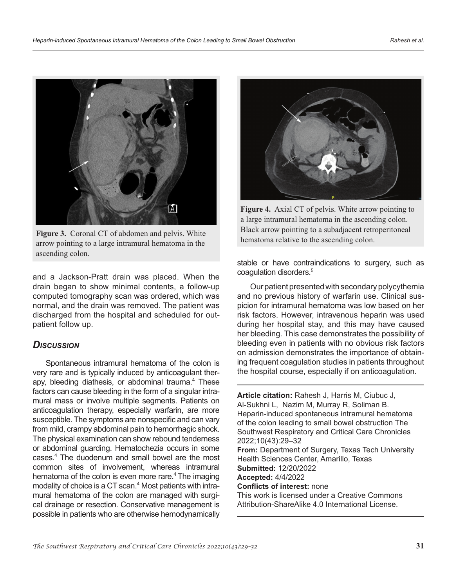

Figure 3. Coronal CT of abdomen and pelvis. White arrow pointing to a large intramural hematoma in the ascending colon.

and a Jackson-Pratt drain was placed. When the drain began to show minimal contents, a follow-up computed tomography scan was ordered, which was normal, and the drain was removed. The patient was discharged from the hospital and scheduled for outpatient follow up.

## *Discussion*

Spontaneous intramural hematoma of the colon is very rare and is typically induced by anticoagulant therapy, bleeding diathesis, or abdominal trauma.<sup>4</sup> These factors can cause bleeding in the form of a singular intramural mass or involve multiple segments. Patients on anticoagulation therapy, especially warfarin, are more susceptible. The symptoms are nonspecific and can vary from mild, crampy abdominal pain to hemorrhagic shock. The physical examination can show rebound tenderness or abdominal guarding. Hematochezia occurs in some cases.4 The duodenum and small bowel are the most common sites of involvement, whereas intramural hematoma of the colon is even more rare.<sup>4</sup> The imaging modality of choice is a CT scan.<sup>4</sup> Most patients with intramural hematoma of the colon are managed with surgical drainage or resection. Conservative management is possible in patients who are otherwise hemodynamically



**Figure 4.** Axial CT of pelvis. White arrow pointing to a large intramural hematoma in the ascending colon. Black arrow pointing to a subadjacent retroperitoneal hematoma relative to the ascending colon.

stable or have contraindications to surgery, such as coagulation disorders.<sup>5</sup>

Our patient presented with secondary polycythemia and no previous history of warfarin use. Clinical suspicion for intramural hematoma was low based on her risk factors. However, intravenous heparin was used during her hospital stay, and this may have caused her bleeding. This case demonstrates the possibility of bleeding even in patients with no obvious risk factors on admission demonstrates the importance of obtaining frequent coagulation studies in patients throughout the hospital course, especially if on anticoagulation.

**Article citation:** Rahesh J, Harris M, Ciubuc J, Al-Sukhni L, Nazim M, Murray R, Soliman B. Heparin-induced spontaneous intramural hematoma of the colon leading to small bowel obstruction The Southwest Respiratory and Critical Care Chronicles 2022;10(43):29–32 **From:** Department of Surgery, Texas Tech University Health Sciences Center, Amarillo, Texas **Submitted:** 12/20/2022 **Accepted:** 4/4/2022 **Conflicts of interest:** none This work is licensed under a Creative Commons Attribution-ShareAlike 4.0 International License.